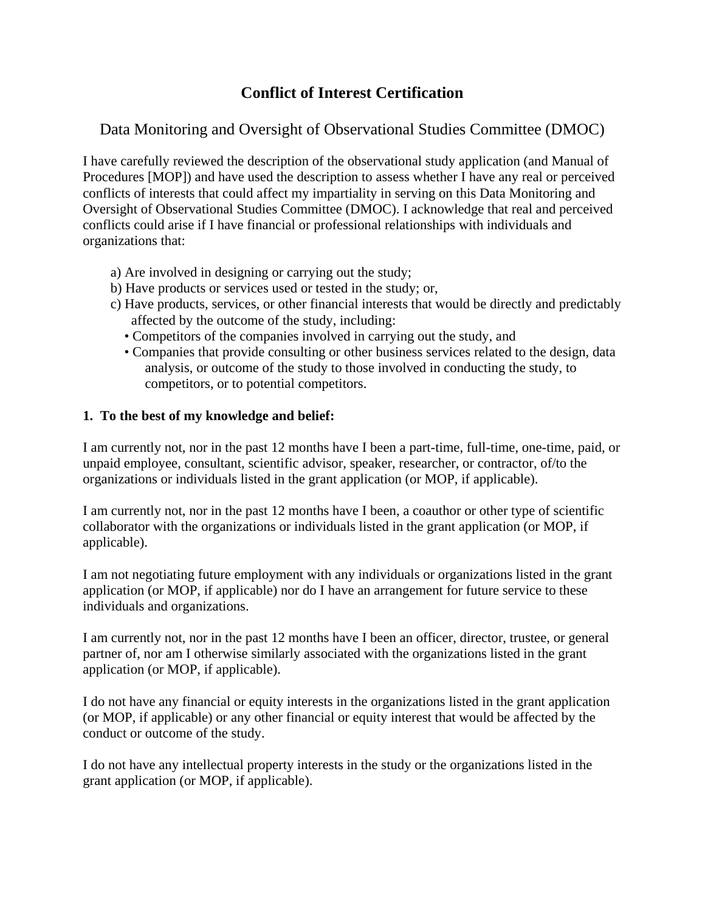# **Conflict of Interest Certification**

### Data Monitoring and Oversight of Observational Studies Committee (DMOC)

I have carefully reviewed the description of the observational study application (and Manual of Procedures [MOP]) and have used the description to assess whether I have any real or perceived conflicts of interests that could affect my impartiality in serving on this Data Monitoring and Oversight of Observational Studies Committee (DMOC). I acknowledge that real and perceived conflicts could arise if I have financial or professional relationships with individuals and organizations that:

- a) Are involved in designing or carrying out the study;
- b) Have products or services used or tested in the study; or,
- c) Have products, services, or other financial interests that would be directly and predictably affected by the outcome of the study, including:
	- Competitors of the companies involved in carrying out the study, and
	- Companies that provide consulting or other business services related to the design, data analysis, or outcome of the study to those involved in conducting the study, to competitors, or to potential competitors.

#### **1. To the best of my knowledge and belief:**

I am currently not, nor in the past 12 months have I been a part-time, full-time, one-time, paid, or unpaid employee, consultant, scientific advisor, speaker, researcher, or contractor, of/to the organizations or individuals listed in the grant application (or MOP, if applicable).

I am currently not, nor in the past 12 months have I been, a coauthor or other type of scientific collaborator with the organizations or individuals listed in the grant application (or MOP, if applicable).

I am not negotiating future employment with any individuals or organizations listed in the grant application (or MOP, if applicable) nor do I have an arrangement for future service to these individuals and organizations.

I am currently not, nor in the past 12 months have I been an officer, director, trustee, or general partner of, nor am I otherwise similarly associated with the organizations listed in the grant application (or MOP, if applicable).

I do not have any financial or equity interests in the organizations listed in the grant application (or MOP, if applicable) or any other financial or equity interest that would be affected by the conduct or outcome of the study.

I do not have any intellectual property interests in the study or the organizations listed in the grant application (or MOP, if applicable).